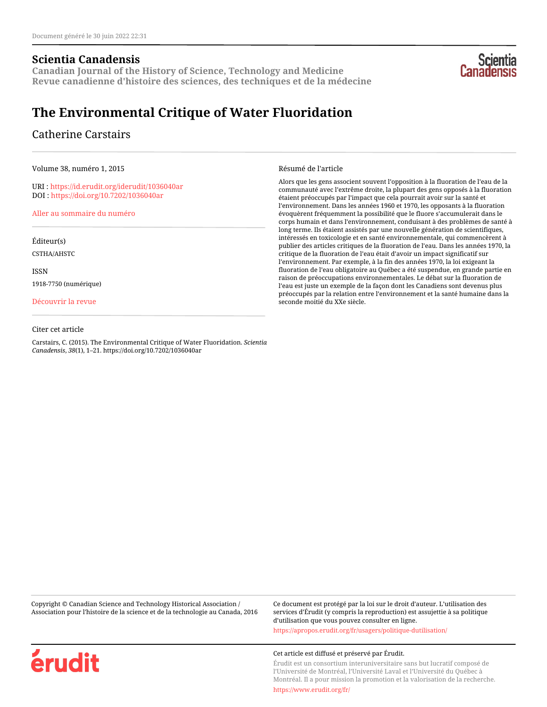# **Scientia Canadensis**

**Canadian Journal of the History of Science, Technology and Medicine Revue canadienne d'histoire des sciences, des techniques et de la médecine**



# Catherine Carstairs

Volume 38, numéro 1, 2015

URI :<https://id.erudit.org/iderudit/1036040ar> DOI :<https://doi.org/10.7202/1036040ar>

[Aller au sommaire du numéro](https://www.erudit.org/fr/revues/scientia/2015-v38-n1-scientia02451/)

Éditeur(s)

CSTHA/AHSTC

ISSN

1918-7750 (numérique)

[Découvrir la revue](https://www.erudit.org/fr/revues/scientia/)

#### Citer cet article

Carstairs, C. (2015). The Environmental Critique of Water Fluoridation. *Scientia Canadensis*, *38*(1), 1–21. https://doi.org/10.7202/1036040ar

Résumé de l'article

Alors que les gens associent souvent l'opposition à la fluoration de l'eau de la communauté avec l'extrême droite, la plupart des gens opposés à la fluoration étaient préoccupés par l'impact que cela pourrait avoir sur la santé et l'environnement. Dans les années 1960 et 1970, les opposants à la fluoration évoquèrent fréquemment la possibilité que le fluore s'accumulerait dans le corps humain et dans l'environnement, conduisant à des problèmes de santé à long terme. Ils étaient assistés par une nouvelle génération de scientifiques, intéressés en toxicologie et en santé environnementale, qui commencèrent à publier des articles critiques de la fluoration de l'eau. Dans les années 1970, la critique de la fluoration de l'eau était d'avoir un impact significatif sur l'environnement. Par exemple, à la fin des années 1970, la loi exigeant la fluoration de l'eau obligatoire au Québec a été suspendue, en grande partie en raison de préoccupations environnementales. Le débat sur la fluoration de l'eau est juste un exemple de la façon dont les Canadiens sont devenus plus préoccupés par la relation entre l'environnement et la santé humaine dans la seconde moitié du XXe siècle.

Copyright © Canadian Science and Technology Historical Association / Association pour l'histoire de la science et de la technologie au Canada, 2016 Ce document est protégé par la loi sur le droit d'auteur. L'utilisation des services d'Érudit (y compris la reproduction) est assujettie à sa politique d'utilisation que vous pouvez consulter en ligne.

<https://apropos.erudit.org/fr/usagers/politique-dutilisation/>

#### Cet article est diffusé et préservé par Érudit.

Érudit est un consortium interuniversitaire sans but lucratif composé de l'Université de Montréal, l'Université Laval et l'Université du Québec à Montréal. Il a pour mission la promotion et la valorisation de la recherche.

<https://www.erudit.org/fr/>

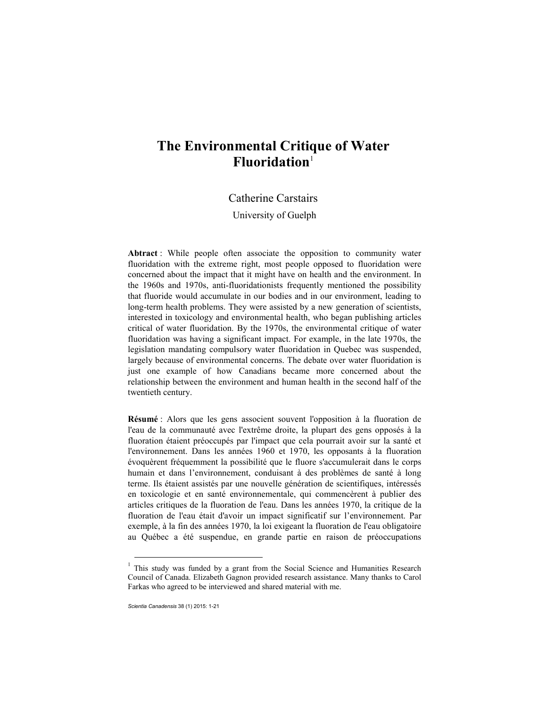# Catherine Carstairs

University of Guelph

**Abtract** : While people often associate the opposition to community water fluoridation with the extreme right, most people opposed to fluoridation were concerned about the impact that it might have on health and the environment. In the 1960s and 1970s, anti-fluoridationists frequently mentioned the possibility that fluoride would accumulate in our bodies and in our environment, leading to long-term health problems. They were assisted by a new generation of scientists, interested in toxicology and environmental health, who began publishing articles critical of water fluoridation. By the 1970s, the environmental critique of water fluoridation was having a significant impact. For example, in the late 1970s, the legislation mandating compulsory water fluoridation in Quebec was suspended, largely because of environmental concerns. The debate over water fluoridation is just one example of how Canadians became more concerned about the relationship between the environment and human health in the second half of the twentieth century.

**Résumé** : Alors que les gens associent souvent l'opposition à la fluoration de l'eau de la communauté avec l'extrême droite, la plupart des gens opposés à la fluoration étaient préoccupés par l'impact que cela pourrait avoir sur la santé et l'environnement. Dans les années 1960 et 1970, les opposants à la fluoration évoquèrent fréquemment la possibilité que le fluore s'accumulerait dans le corps humain et dans l'environnement, conduisant à des problèmes de santé à long terme. Ils étaient assistés par une nouvelle génération de scientifiques, intéressés en toxicologie et en santé environnementale, qui commencèrent à publier des articles critiques de la fluoration de l'eau. Dans les années 1970, la critique de la fluoration de l'eau était d'avoir un impact significatif sur l'environnement. Par exemple, à la fin des années 1970, la loi exigeant la fluoration de l'eau obligatoire au Québec a été suspendue, en grande partie en raison de préoccupations

<sup>&</sup>lt;sup>1</sup> This study was funded by a grant from the Social Science and Humanities Research Council of Canada. Elizabeth Gagnon provided research assistance. Many thanks to Carol Farkas who agreed to be interviewed and shared material with me.

*Scientia Canadensis* 38 (1) 2015: 1-21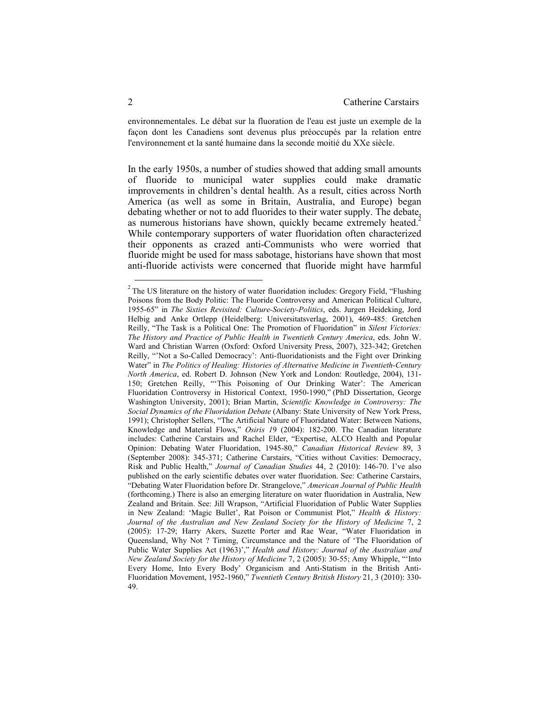environnementales. Le débat sur la fluoration de l'eau est juste un exemple de la façon dont les Canadiens sont devenus plus préoccupés par la relation entre l'environnement et la santé humaine dans la seconde moitié du XXe siècle.

In the early 1950s, a number of studies showed that adding small amounts of fluoride to municipal water supplies could make dramatic improvements in children's dental health. As a result, cities across North America (as well as some in Britain, Australia, and Europe) began debating whether or not to add fluorides to their water supply. The debate, as numerous historians have shown, quickly became extremely heated.<sup>2</sup> While contemporary supporters of water fluoridation often characterized their opponents as crazed anti-Communists who were worried that fluoride might be used for mass sabotage, historians have shown that most anti-fluoride activists were concerned that fluoride might have harmful

<sup>&</sup>lt;sup>2</sup> The US literature on the history of water fluoridation includes: Gregory Field, "Flushing Poisons from the Body Politic: The Fluoride Controversy and American Political Culture, 1955-65" in *The Sixties Revisited: Culture-Society-Politics*, eds. Jurgen Heideking, Jord Helbig and Anke Ortlepp (Heidelberg: Universitatsverlag, 2001), 469-485; Gretchen Reilly, "The Task is a Political One: The Promotion of Fluoridation" in *Silent Victories: The History and Practice of Public Health in Twentieth Century America*, eds. John W. Ward and Christian Warren (Oxford: Oxford University Press, 2007), 323-342; Gretchen Reilly, "'Not a So-Called Democracy': Anti-fluoridationists and the Fight over Drinking Water" in *The Politics of Healing: Histories of Alternative Medicine in Twentieth-Century North America*, ed. Robert D. Johnson (New York and London: Routledge, 2004), 131- 150; Gretchen Reilly, "'This Poisoning of Our Drinking Water': The American Fluoridation Controversy in Historical Context, 1950-1990," (PhD Dissertation, George Washington University, 2001); Brian Martin, *Scientific Knowledge in Controversy: The Social Dynamics of the Fluoridation Debate* (Albany: State University of New York Press, 1991); Christopher Sellers, "The Artificial Nature of Fluoridated Water: Between Nations, Knowledge and Material Flows," *Osiris 1*9 (2004): 182-200. The Canadian literature includes: Catherine Carstairs and Rachel Elder, "Expertise, ALCO Health and Popular Opinion: Debating Water Fluoridation, 1945-80," *Canadian Historical Review* 89, 3 (September 2008): 345-371; Catherine Carstairs, "Cities without Cavities: Democracy, Risk and Public Health," *Journal of Canadian Studies* 44, 2 (2010): 146-70. I've also published on the early scientific debates over water fluoridation. See: Catherine Carstairs, "Debating Water Fluoridation before Dr. Strangelove," *American Journal of Public Health* (forthcoming.) There is also an emerging literature on water fluoridation in Australia, New Zealand and Britain. See: Jill Wrapson, "Artificial Fluoridation of Public Water Supplies in New Zealand: 'Magic Bullet', Rat Poison or Communist Plot," *Health & History: Journal of the Australian and New Zealand Society for the History of Medicine* 7, 2 (2005): 17-29; Harry Akers, Suzette Porter and Rae Wear, "Water Fluoridation in Queensland, Why Not ? Timing, Circumstance and the Nature of 'The Fluoridation of Public Water Supplies Act (1963)'," *Health and History: Journal of the Australian and New Zealand Society for the History of Medicine* 7, 2 (2005): 30-55; Amy Whipple, "'Into Every Home, Into Every Body' Organicism and Anti-Statism in the British Anti-Fluoridation Movement, 1952-1960," *Twentieth Century British History* 21, 3 (2010): 330- 49.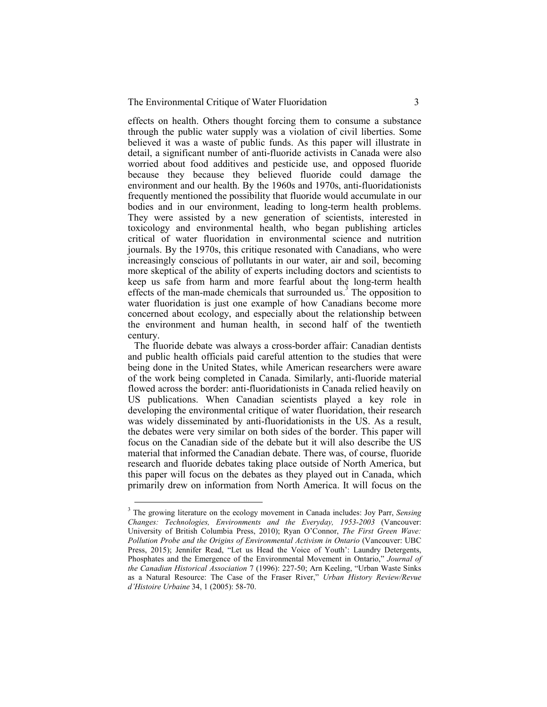effects on health. Others thought forcing them to consume a substance through the public water supply was a violation of civil liberties. Some believed it was a waste of public funds. As this paper will illustrate in detail, a significant number of anti-fluoride activists in Canada were also worried about food additives and pesticide use, and opposed fluoride because they because they believed fluoride could damage the environment and our health. By the 1960s and 1970s, anti-fluoridationists frequently mentioned the possibility that fluoride would accumulate in our bodies and in our environment, leading to long-term health problems. They were assisted by a new generation of scientists, interested in toxicology and environmental health, who began publishing articles critical of water fluoridation in environmental science and nutrition journals. By the 1970s, this critique resonated with Canadians, who were increasingly conscious of pollutants in our water, air and soil, becoming more skeptical of the ability of experts including doctors and scientists to keep us safe from harm and more fearful about the long-term health effects of the man-made chemicals that surrounded us.<sup>3</sup> The opposition to water fluoridation is just one example of how Canadians become more concerned about ecology, and especially about the relationship between the environment and human health, in second half of the twentieth century.

The fluoride debate was always a cross-border affair: Canadian dentists and public health officials paid careful attention to the studies that were being done in the United States, while American researchers were aware of the work being completed in Canada. Similarly, anti-fluoride material flowed across the border: anti-fluoridationists in Canada relied heavily on US publications. When Canadian scientists played a key role in developing the environmental critique of water fluoridation, their research was widely disseminated by anti-fluoridationists in the US. As a result, the debates were very similar on both sides of the border. This paper will focus on the Canadian side of the debate but it will also describe the US material that informed the Canadian debate. There was, of course, fluoride research and fluoride debates taking place outside of North America, but this paper will focus on the debates as they played out in Canada, which primarily drew on information from North America. It will focus on the

<sup>3</sup> The growing literature on the ecology movement in Canada includes: Joy Parr, *Sensing Changes: Technologies, Environments and the Everyday, 1953-2003* (Vancouver: University of British Columbia Press, 2010); Ryan O'Connor, *The First Green Wave: Pollution Probe and the Origins of Environmental Activism in Ontario* (Vancouver: UBC Press, 2015); Jennifer Read, "Let us Head the Voice of Youth': Laundry Detergents, Phosphates and the Emergence of the Environmental Movement in Ontario," *Journal of the Canadian Historical Association* 7 (1996): 227-50; Arn Keeling, "Urban Waste Sinks as a Natural Resource: The Case of the Fraser River," *Urban History Review/Revue d'Histoire Urbaine* 34, 1 (2005): 58-70.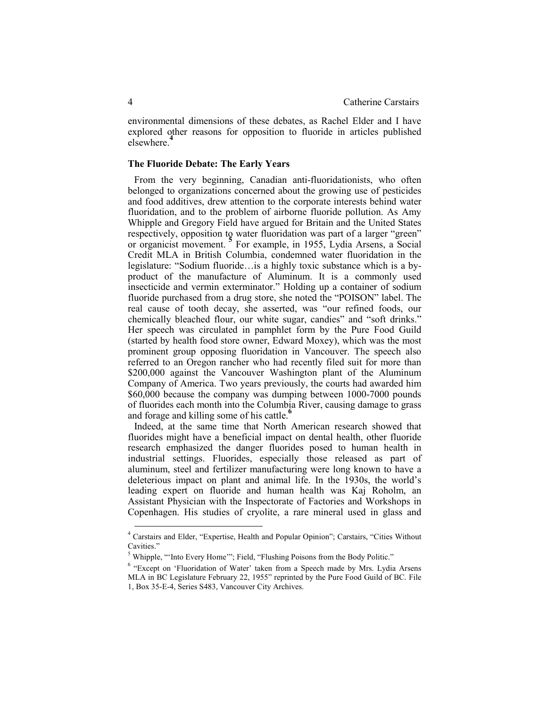environmental dimensions of these debates, as Rachel Elder and I have explored other reasons for opposition to fluoride in articles published elsewhere.**<sup>4</sup>**

### **The Fluoride Debate: The Early Years**

From the very beginning, Canadian anti-fluoridationists, who often belonged to organizations concerned about the growing use of pesticides and food additives, drew attention to the corporate interests behind water fluoridation, and to the problem of airborne fluoride pollution. As Amy Whipple and Gregory Field have argued for Britain and the United States respectively, opposition to water fluoridation was part of a larger "green" or organicist movement. **<sup>5</sup>** For example, in 1955, Lydia Arsens, a Social Credit MLA in British Columbia, condemned water fluoridation in the legislature: "Sodium fluoride…is a highly toxic substance which is a byproduct of the manufacture of Aluminum. It is a commonly used insecticide and vermin exterminator." Holding up a container of sodium fluoride purchased from a drug store, she noted the "POISON" label. The real cause of tooth decay, she asserted, was "our refined foods, our chemically bleached flour, our white sugar, candies" and "soft drinks." Her speech was circulated in pamphlet form by the Pure Food Guild (started by health food store owner, Edward Moxey), which was the most prominent group opposing fluoridation in Vancouver. The speech also referred to an Oregon rancher who had recently filed suit for more than \$200,000 against the Vancouver Washington plant of the Aluminum Company of America. Two years previously, the courts had awarded him \$60,000 because the company was dumping between 1000-7000 pounds of fluorides each month into the Columbia River, causing damage to grass and forage and killing some of his cattle.<sup> $\degree$ </sup>

Indeed, at the same time that North American research showed that fluorides might have a beneficial impact on dental health, other fluoride research emphasized the danger fluorides posed to human health in industrial settings. Fluorides, especially those released as part of aluminum, steel and fertilizer manufacturing were long known to have a deleterious impact on plant and animal life. In the 1930s, the world's leading expert on fluoride and human health was Kaj Roholm, an Assistant Physician with the Inspectorate of Factories and Workshops in Copenhagen. His studies of cryolite, a rare mineral used in glass and

 4 Carstairs and Elder, "Expertise, Health and Popular Opinion"; Carstairs, "Cities Without Cavities."

<sup>&</sup>lt;sup>5</sup> Whipple, "'Into Every Home'"; Field, "Flushing Poisons from the Body Politic."

<sup>&</sup>lt;sup>6</sup> "Except on 'Fluoridation of Water' taken from a Speech made by Mrs. Lydia Arsens MLA in BC Legislature February 22, 1955" reprinted by the Pure Food Guild of BC. File 1, Box 35-E-4, Series S483, Vancouver City Archives.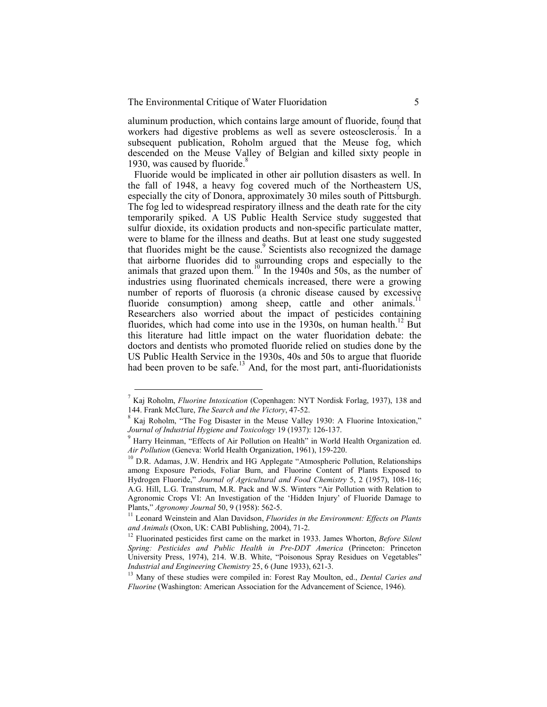aluminum production, which contains large amount of fluoride, found that workers had digestive problems as well as severe osteosclerosis.<sup>7</sup> In a subsequent publication, Roholm argued that the Meuse fog, which descended on the Meuse Valley of Belgian and killed sixty people in 1930, was caused by fluoride. $\degree$ 

Fluoride would be implicated in other air pollution disasters as well. In the fall of 1948, a heavy fog covered much of the Northeastern US, especially the city of Donora, approximately 30 miles south of Pittsburgh. The fog led to widespread respiratory illness and the death rate for the city temporarily spiked. A US Public Health Service study suggested that sulfur dioxide, its oxidation products and non-specific particulate matter, were to blame for the illness and deaths. But at least one study suggested that fluorides might be the cause.<sup>9</sup> Scientists also recognized the damage that airborne fluorides did to surrounding crops and especially to the animals that grazed upon them.<sup>10</sup> In the 1940s and 50s, as the number of industries using fluorinated chemicals increased, there were a growing number of reports of fluorosis (a chronic disease caused by excessive fluoride consumption) among sheep, cattle and other animals.<sup>1</sup> Researchers also worried about the impact of pesticides containing fluorides, which had come into use in the  $1930s$ , on human health.<sup>12</sup> But this literature had little impact on the water fluoridation debate: the doctors and dentists who promoted fluoride relied on studies done by the US Public Health Service in the 1930s, 40s and 50s to argue that fluoride had been proven to be safe.<sup>13</sup> And, for the most part, anti-fluoridationists

<sup>7</sup> Kaj Roholm, *Fluorine Intoxication* (Copenhagen: NYT Nordisk Forlag, 1937), 138 and 144. Frank McClure, *The Search and the Victory*, 47-52.

<sup>&</sup>lt;sup>8</sup> Kaj Roholm, "The Fog Disaster in the Meuse Valley 1930: A Fluorine Intoxication," *Journal of Industrial Hygiene and Toxicology* 19 (1937): 126-137.

<sup>&</sup>lt;sup>9</sup> Harry Heinman, "Effects of Air Pollution on Health" in World Health Organization ed. *Air Pollution* (Geneva: World Health Organization, 1961), 159-220.

<sup>&</sup>lt;sup>10</sup> D.R. Adamas, J.W. Hendrix and HG Applegate "Atmospheric Pollution, Relationships among Exposure Periods, Foliar Burn, and Fluorine Content of Plants Exposed to Hydrogen Fluoride," *Journal of Agricultural and Food Chemistry* 5, 2 (1957), 108-116; A.G. Hill, L.G. Transtrum, M.R. Pack and W.S. Winters "Air Pollution with Relation to Agronomic Crops VI: An Investigation of the 'Hidden Injury' of Fluoride Damage to Plants," *Agronomy Journal* 50, 9 (1958): 562-5.

<sup>&</sup>lt;sup>11</sup> Leonard Weinstein and Alan Davidson, *Fluorides in the Environment: Effects on Plants and Animals* (Oxon, UK: CABI Publishing, 2004), 71-2.

<sup>&</sup>lt;sup>12</sup> Fluorinated pesticides first came on the market in 1933. James Whorton, *Before Silent Spring: Pesticides and Public Health in Pre-DDT America* (Princeton: Princeton University Press, 1974), 214. W.B. White, "Poisonous Spray Residues on Vegetables" *Industrial and Engineering Chemistry* 25, 6 (June 1933), 621-3.

<sup>13</sup> Many of these studies were compiled in: Forest Ray Moulton, ed., *Dental Caries and Fluorine* (Washington: American Association for the Advancement of Science, 1946).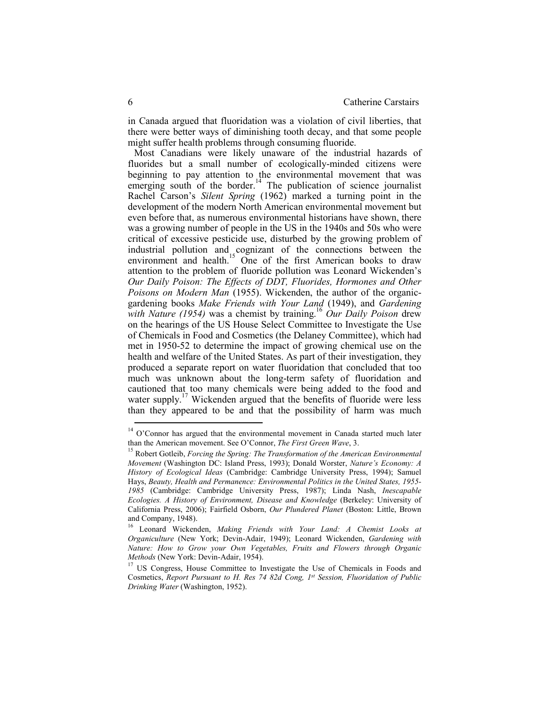in Canada argued that fluoridation was a violation of civil liberties, that there were better ways of diminishing tooth decay, and that some people might suffer health problems through consuming fluoride.

Most Canadians were likely unaware of the industrial hazards of fluorides but a small number of ecologically-minded citizens were beginning to pay attention to the environmental movement that was emerging south of the border.<sup>14</sup> The publication of science journalist Rachel Carson's *Silent Spring* (1962) marked a turning point in the development of the modern North American environmental movement but even before that, as numerous environmental historians have shown, there was a growing number of people in the US in the 1940s and 50s who were critical of excessive pesticide use, disturbed by the growing problem of industrial pollution and cognizant of the connections between the environment and health.<sup>15</sup> One of the first American books to draw attention to the problem of fluoride pollution was Leonard Wickenden's *Our Daily Poison: The Effects of DDT, Fluorides, Hormones and Other Poisons on Modern Man* (1955). Wickenden, the author of the organicgardening books *Make Friends with Your Land* (1949), and *Gardening with Nature (1954)* was a chemist by training.<sup>16</sup> *Our Daily Poison* drew on the hearings of the US House Select Committee to Investigate the Use of Chemicals in Food and Cosmetics (the Delaney Committee), which had met in 1950-52 to determine the impact of growing chemical use on the health and welfare of the United States. As part of their investigation, they produced a separate report on water fluoridation that concluded that too much was unknown about the long-term safety of fluoridation and cautioned that too many chemicals were being added to the food and water supply.<sup>17</sup> Wickenden argued that the benefits of fluoride were less than they appeared to be and that the possibility of harm was much

<sup>&</sup>lt;sup>14</sup> O'Connor has argued that the environmental movement in Canada started much later than the American movement. See O'Connor, *The First Green Wave*, 3.

<sup>&</sup>lt;sup>15</sup> Robert Gotleib, *Forcing the Spring: The Transformation of the American Environmental Movement* (Washington DC: Island Press, 1993); Donald Worster, *Nature's Economy: A History of Ecological Ideas* (Cambridge: Cambridge University Press, 1994); Samuel Hays, *Beauty, Health and Permanence: Environmental Politics in the United States, 1955- 1985* (Cambridge: Cambridge University Press, 1987); Linda Nash, *Inescapable Ecologies. A History of Environment, Disease and Knowledge* (Berkeley: University of California Press, 2006); Fairfield Osborn, *Our Plundered Planet* (Boston: Little, Brown and Company, 1948).

<sup>16</sup> Leonard Wickenden, *Making Friends with Your Land: A Chemist Looks at Organiculture* (New York; Devin-Adair, 1949); Leonard Wickenden, *Gardening with Nature: How to Grow your Own Vegetables, Fruits and Flowers through Organic Methods* (New York: Devin-Adair, 1954).

<sup>&</sup>lt;sup>17</sup> US Congress, House Committee to Investigate the Use of Chemicals in Foods and Cosmetics, *Report Pursuant to H. Res 74 82d Cong, 1st Session, Fluoridation of Public Drinking Water* (Washington, 1952).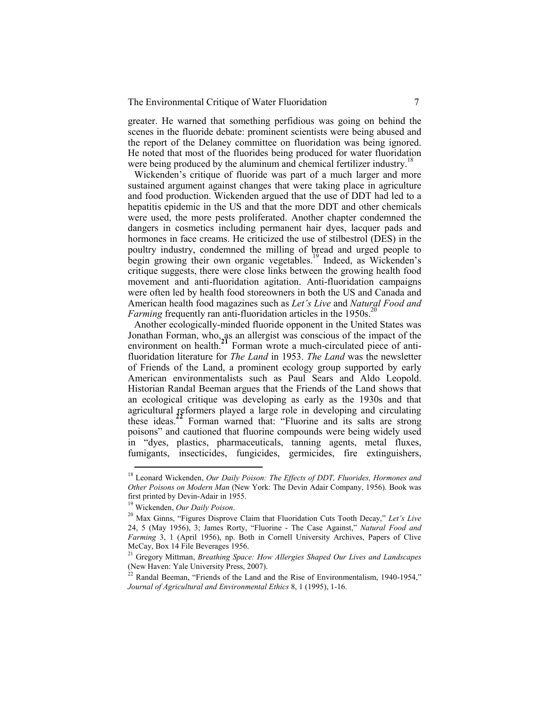greater. He warned that something perfidious was going on behind the scenes in the fluoride debate: prominent scientists were being abused and the report of the Delaney committee on fluoridation was being ignored. He noted that most of the fluorides being produced for water fluoridation were being produced by the aluminum and chemical fertilizer industry.<sup>1</sup>

Wickenden's critique of fluoride was part of a much larger and more sustained argument against changes that were taking place in agriculture and food production. Wickenden argued that the use of DDT had led to a hepatitis epidemic in the US and that the more DDT and other chemicals were used, the more pests proliferated. Another chapter condemned the dangers in cosmetics including permanent hair dyes, lacquer pads and hormones in face creams. He criticized the use of stilbestrol (DES) in the poultry industry, condemned the milling of bread and urged people to begin growing their own organic vegetables.<sup>19</sup> Indeed, as Wickenden's critique suggests, there were close links between the growing health food movement and anti-fluoridation agitation. Anti-fluoridation campaigns were often led by health food storeowners in both the US and Canada and American health food magazines such as *Let's Live* and *Natural Food and Farming* frequently ran anti-fluoridation articles in the 1950s.<sup>2</sup>

Another ecologically-minded fluoride opponent in the United States was Jonathan Forman, who, as an allergist was conscious of the impact of the environment on health.<sup>21</sup> Forman wrote a much-circulated piece of antifluoridation literature for *The Land* in 1953. *The Land* was the newsletter of Friends of the Land, a prominent ecology group supported by early American environmentalists such as Paul Sears and Aldo Leopold. Historian Randal Beeman argues that the Friends of the Land shows that an ecological critique was developing as early as the 1930s and that agricultural reformers played a large role in developing and circulating these ideas.**22** Forman warned that: "Fluorine and its salts are strong poisons" and cautioned that fluorine compounds were being widely used in "dyes, plastics, pharmaceuticals, tanning agents, metal fluxes, fumigants, insecticides, fungicides, germicides, fire extinguishers,

 $\ddot{\phantom{a}}$ 

<sup>18</sup> Leonard Wickenden, *Our Daily Poison: The Effects of DDT, Fluorides, Hormones and Other Poisons on Modern Man* (New York: The Devin Adair Company, 1956)*.* Book was first printed by Devin-Adair in 1955.

<sup>19</sup> Wickenden, *Our Daily Poison*.

<sup>20</sup> Max Ginns, "Figures Disprove Claim that Fluoridation Cuts Tooth Decay," *Let's Live* 24, 5 (May 1956), 3; James Rorty, "Fluorine - The Case Against," *Natural Food and Farming* 3, 1 (April 1956), np. Both in Cornell University Archives, Papers of Clive McCay, Box 14 File Beverages 1956.

<sup>21</sup> Gregory Mittman, *Breathing Space: How Allergies Shaped Our Lives and Landscapes* (New Haven: Yale University Press, 2007).

 $22$  Randal Beeman, "Friends of the Land and the Rise of Environmentalism, 1940-1954," *Journal of Agricultural and Environmental Ethics* 8, 1 (1995), 1-16.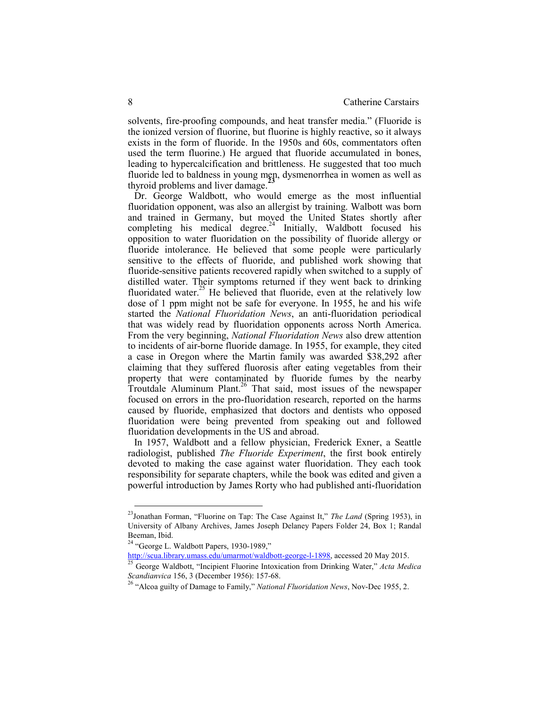solvents, fire-proofing compounds, and heat transfer media." (Fluoride is the ionized version of fluorine, but fluorine is highly reactive, so it always exists in the form of fluoride. In the 1950s and 60s, commentators often used the term fluorine.) He argued that fluoride accumulated in bones, leading to hypercalcification and brittleness. He suggested that too much fluoride led to baldness in young men, dysmenorrhea in women as well as thyroid problems and liver damage.<sup>2</sup>

Dr. George Waldbott, who would emerge as the most influential fluoridation opponent, was also an allergist by training. Walbott was born and trained in Germany, but moved the United States shortly after completing his medical degree.<sup>24</sup> Initially, Waldbott focused his opposition to water fluoridation on the possibility of fluoride allergy or fluoride intolerance. He believed that some people were particularly sensitive to the effects of fluoride, and published work showing that fluoride-sensitive patients recovered rapidly when switched to a supply of distilled water. Their symptoms returned if they went back to drinking fluoridated water.<sup>25</sup> He believed that fluoride, even at the relatively low dose of 1 ppm might not be safe for everyone. In 1955, he and his wife started the *National Fluoridation News*, an anti-fluoridation periodical that was widely read by fluoridation opponents across North America. From the very beginning, *National Fluoridation News* also drew attention to incidents of air-borne fluoride damage. In 1955, for example, they cited a case in Oregon where the Martin family was awarded \$38,292 after claiming that they suffered fluorosis after eating vegetables from their property that were contaminated by fluoride fumes by the nearby Troutdale Aluminum Plant.<sup>26</sup> That said, most issues of the newspaper focused on errors in the pro-fluoridation research, reported on the harms caused by fluoride, emphasized that doctors and dentists who opposed fluoridation were being prevented from speaking out and followed fluoridation developments in the US and abroad.

In 1957, Waldbott and a fellow physician, Frederick Exner, a Seattle radiologist, published *The Fluoride Experiment*, the first book entirely devoted to making the case against water fluoridation. They each took responsibility for separate chapters, while the book was edited and given a powerful introduction by James Rorty who had published anti-fluoridation

<sup>&</sup>lt;sup>23</sup>Jonathan Forman, "Fluorine on Tap: The Case Against It," *The Land* (Spring 1953), in University of Albany Archives, James Joseph Delaney Papers Folder 24, Box 1; Randal Beeman, Ibid.

<sup>&</sup>lt;sup>24</sup> "George L. Waldbott Papers, 1930-1989,"

http://scua.library.umass.edu/umarmot/waldbott-george-l-1898, accessed 20 May 2015.

<sup>25</sup> George Waldbott, "Incipient Fluorine Intoxication from Drinking Water," *Acta Medica Scandianvica* 156, 3 (December 1956): 157-68.

<sup>26</sup> "Alcoa guilty of Damage to Family," *National Fluoridation News*, Nov-Dec 1955, 2.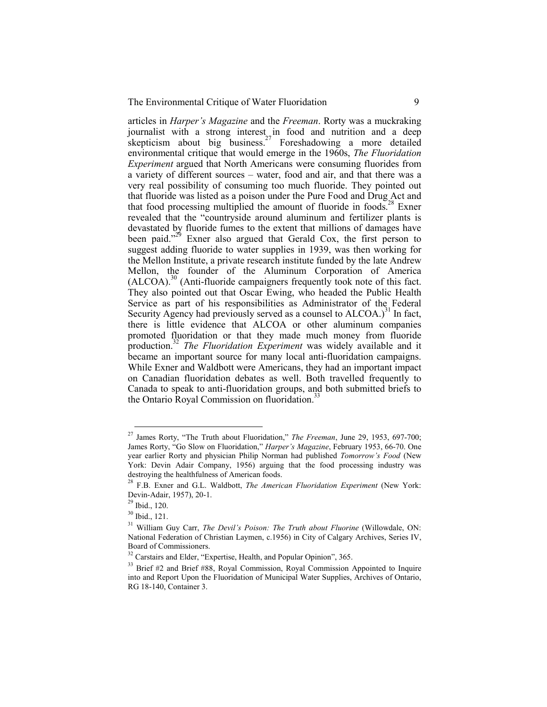articles in *Harper's Magazine* and the *Freeman*. Rorty was a muckraking journalist with a strong interest, in food and nutrition and a deep skepticism about big business.<sup>27</sup> Foreshadowing a more detailed environmental critique that would emerge in the 1960s, *The Fluoridation Experiment* argued that North Americans were consuming fluorides from a variety of different sources – water, food and air, and that there was a very real possibility of consuming too much fluoride. They pointed out that fluoride was listed as a poison under the Pure Food and Drug Act and that food processing multiplied the amount of fluoride in foods.<sup>28</sup> Exner revealed that the "countryside around aluminum and fertilizer plants is devastated by fluoride fumes to the extent that millions of damages have been paid."<sup>29</sup> Exner also argued that Gerald Cox, the first person to suggest adding fluoride to water supplies in 1939, was then working for the Mellon Institute, a private research institute funded by the late Andrew Mellon, the founder of the Aluminum Corporation of America  $(ALCOA).$ <sup>30</sup> (Anti-fluoride campaigners frequently took note of this fact. They also pointed out that Oscar Ewing, who headed the Public Health Service as part of his responsibilities as Administrator of the Federal Security Agency had previously served as a counsel to ALCOA.)<sup>31</sup> In fact, there is little evidence that ALCOA or other aluminum companies promoted fluoridation or that they made much money from fluoride production.<sup>32</sup> *The Fluoridation Experiment* was widely available and it became an important source for many local anti-fluoridation campaigns. While Exner and Waldbott were Americans, they had an important impact on Canadian fluoridation debates as well. Both travelled frequently to Canada to speak to anti-fluoridation groups, and both submitted briefs to the Ontario Royal Commission on fluoridation.<sup>3</sup>

 $\ddot{\phantom{a}}$ 

<sup>27</sup> James Rorty, "The Truth about Fluoridation," *The Freeman*, June 29, 1953, 697-700; James Rorty, "Go Slow on Fluoridation," *Harper's Magazine*, February 1953, 66-70. One year earlier Rorty and physician Philip Norman had published *Tomorrow's Food* (New York: Devin Adair Company, 1956) arguing that the food processing industry was destroying the healthfulness of American foods.

<sup>28</sup> F.B. Exner and G.L. Waldbott, *The American Fluoridation Experiment* (New York: Devin-Adair, 1957), 20-1.

 $^{29}$  Ibid., 120.

<sup>30</sup> Ibid., 121.

<sup>31</sup> William Guy Carr, *The Devil's Poison: The Truth about Fluorine* (Willowdale, ON: National Federation of Christian Laymen, c.1956) in City of Calgary Archives, Series IV, Board of Commissioners.

<sup>&</sup>lt;sup>32</sup> Carstairs and Elder, "Expertise, Health, and Popular Opinion", 365.

 $33$  Brief #2 and Brief #88, Royal Commission, Royal Commission Appointed to Inquire into and Report Upon the Fluoridation of Municipal Water Supplies, Archives of Ontario, RG 18-140, Container 3.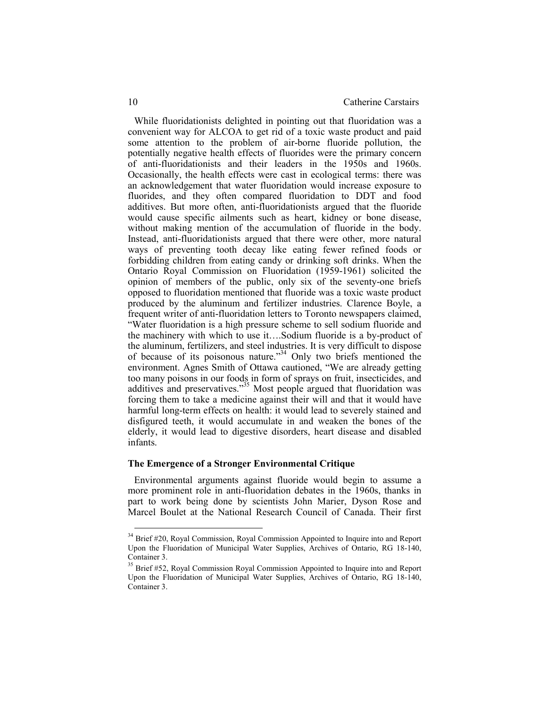While fluoridationists delighted in pointing out that fluoridation was a convenient way for ALCOA to get rid of a toxic waste product and paid some attention to the problem of air-borne fluoride pollution, the potentially negative health effects of fluorides were the primary concern of anti-fluoridationists and their leaders in the 1950s and 1960s. Occasionally, the health effects were cast in ecological terms: there was an acknowledgement that water fluoridation would increase exposure to fluorides, and they often compared fluoridation to DDT and food additives. But more often, anti-fluoridationists argued that the fluoride would cause specific ailments such as heart, kidney or bone disease, without making mention of the accumulation of fluoride in the body. Instead, anti-fluoridationists argued that there were other, more natural ways of preventing tooth decay like eating fewer refined foods or forbidding children from eating candy or drinking soft drinks. When the Ontario Royal Commission on Fluoridation (1959-1961) solicited the opinion of members of the public, only six of the seventy-one briefs opposed to fluoridation mentioned that fluoride was a toxic waste product produced by the aluminum and fertilizer industries. Clarence Boyle, a frequent writer of anti-fluoridation letters to Toronto newspapers claimed, "Water fluoridation is a high pressure scheme to sell sodium fluoride and the machinery with which to use it….Sodium fluoride is a by-product of the aluminum, fertilizers, and steel industries. It is very difficult to dispose of because of its poisonous nature."<sup>34</sup> Only two briefs mentioned the environment. Agnes Smith of Ottawa cautioned, "We are already getting too many poisons in our foods in form of sprays on fruit, insecticides, and additives and preservatives."<sup>35</sup> Most people argued that fluoridation was forcing them to take a medicine against their will and that it would have harmful long-term effects on health: it would lead to severely stained and disfigured teeth, it would accumulate in and weaken the bones of the elderly, it would lead to digestive disorders, heart disease and disabled infants.

#### **The Emergence of a Stronger Environmental Critique**

Environmental arguments against fluoride would begin to assume a more prominent role in anti-fluoridation debates in the 1960s, thanks in part to work being done by scientists John Marier, Dyson Rose and Marcel Boulet at the National Research Council of Canada. Their first

<sup>&</sup>lt;sup>34</sup> Brief #20, Royal Commission, Royal Commission Appointed to Inquire into and Report Upon the Fluoridation of Municipal Water Supplies, Archives of Ontario, RG 18-140, Container 3.

<sup>&</sup>lt;sup>35</sup> Brief #52, Royal Commission Royal Commission Appointed to Inquire into and Report Upon the Fluoridation of Municipal Water Supplies, Archives of Ontario, RG 18-140, Container 3.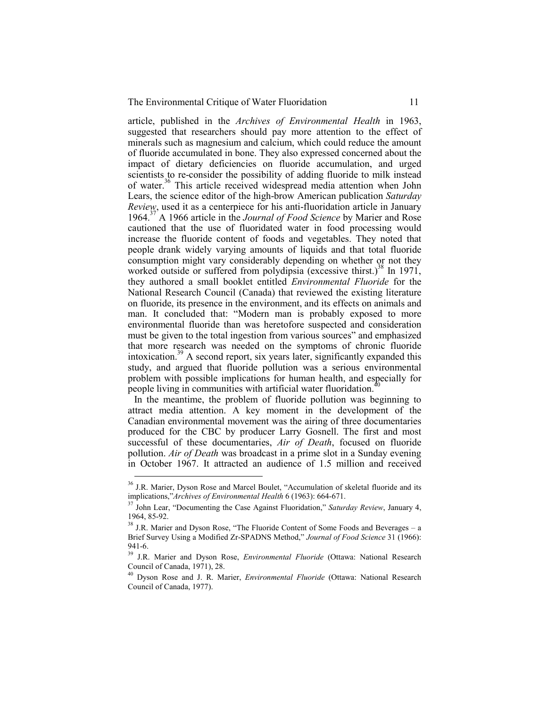article, published in the *Archives of Environmental Health* in 1963, suggested that researchers should pay more attention to the effect of minerals such as magnesium and calcium, which could reduce the amount of fluoride accumulated in bone. They also expressed concerned about the impact of dietary deficiencies on fluoride accumulation, and urged scientists to re-consider the possibility of adding fluoride to milk instead of water.<sup>36</sup> This article received widespread media attention when John Lears, the science editor of the high-brow American publication *Saturday Review*, used it as a centerpiece for his anti-fluoridation article in January 1964.<sup>37</sup> A 1966 article in the *Journal of Food Science* by Marier and Rose cautioned that the use of fluoridated water in food processing would increase the fluoride content of foods and vegetables. They noted that people drank widely varying amounts of liquids and that total fluoride consumption might vary considerably depending on whether or not they worked outside or suffered from polydipsia (excessive thirst.)<sup>38</sup> In 1971, they authored a small booklet entitled *Environmental Fluoride* for the National Research Council (Canada) that reviewed the existing literature on fluoride, its presence in the environment, and its effects on animals and man. It concluded that: "Modern man is probably exposed to more environmental fluoride than was heretofore suspected and consideration must be given to the total ingestion from various sources" and emphasized that more research was needed on the symptoms of chronic fluoride intoxication.<sup>39</sup> A second report, six years later, significantly expanded this study, and argued that fluoride pollution was a serious environmental problem with possible implications for human health, and especially for people living in communities with artificial water fluoridation.<sup>4</sup>

In the meantime, the problem of fluoride pollution was beginning to attract media attention. A key moment in the development of the Canadian environmental movement was the airing of three documentaries produced for the CBC by producer Larry Gosnell. The first and most successful of these documentaries, *Air of Death*, focused on fluoride pollution. *Air of Death* was broadcast in a prime slot in a Sunday evening in October 1967. It attracted an audience of 1.5 million and received

<sup>&</sup>lt;sup>36</sup> J.R. Marier, Dyson Rose and Marcel Boulet, "Accumulation of skeletal fluoride and its implications,"*Archives of Environmental Health* 6 (1963): 664-671.

<sup>&</sup>lt;sup>37</sup> John Lear, "Documenting the Case Against Fluoridation," Saturday Review, January 4, 1964, 85-92.

<sup>&</sup>lt;sup>38</sup> J.R. Marier and Dyson Rose, "The Fluoride Content of Some Foods and Beverages – a Brief Survey Using a Modified Zr-SPADNS Method," *Journal of Food Science* 31 (1966): 941-6.

<sup>39</sup> J.R. Marier and Dyson Rose, *Environmental Fluoride* (Ottawa: National Research Council of Canada, 1971), 28.

<sup>40</sup> Dyson Rose and J. R. Marier, *Environmental Fluoride* (Ottawa: National Research Council of Canada, 1977).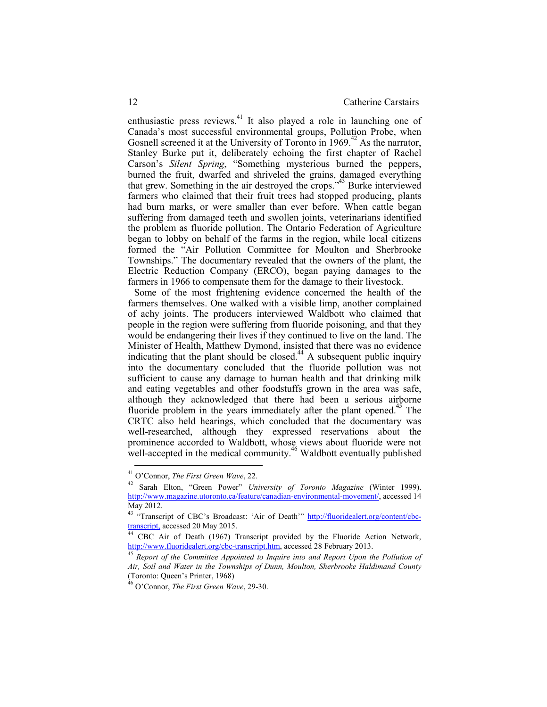enthusiastic press reviews.<sup>41</sup> It also played a role in launching one of Canada's most successful environmental groups, Pollution Probe, when Gosnell screened it at the University of Toronto in 1969.<sup>42</sup> As the narrator, Stanley Burke put it, deliberately echoing the first chapter of Rachel Carson's *Silent Spring*, "Something mysterious burned the peppers, burned the fruit, dwarfed and shriveled the grains, damaged everything that grew. Something in the air destroyed the crops."<sup>43</sup> Burke interviewed farmers who claimed that their fruit trees had stopped producing, plants had burn marks, or were smaller than ever before. When cattle began suffering from damaged teeth and swollen joints, veterinarians identified the problem as fluoride pollution. The Ontario Federation of Agriculture began to lobby on behalf of the farms in the region, while local citizens formed the "Air Pollution Committee for Moulton and Sherbrooke Townships." The documentary revealed that the owners of the plant, the Electric Reduction Company (ERCO), began paying damages to the farmers in 1966 to compensate them for the damage to their livestock.

Some of the most frightening evidence concerned the health of the farmers themselves. One walked with a visible limp, another complained of achy joints. The producers interviewed Waldbott who claimed that people in the region were suffering from fluoride poisoning, and that they would be endangering their lives if they continued to live on the land. The Minister of Health, Matthew Dymond, insisted that there was no evidence indicating that the plant should be closed. $44$  A subsequent public inquiry into the documentary concluded that the fluoride pollution was not sufficient to cause any damage to human health and that drinking milk and eating vegetables and other foodstuffs grown in the area was safe, although they acknowledged that there had been a serious airborne fluoride problem in the years immediately after the plant opened.<sup>45</sup> The CRTC also held hearings, which concluded that the documentary was well-researched, although they expressed reservations about the prominence accorded to Waldbott, whose views about fluoride were not well-accepted in the medical community.<sup>46</sup> Waldbott eventually published

<sup>41</sup> O'Connor, *The First Green Wave*, 22.

<sup>42</sup> Sarah Elton, "Green Power" *University of Toronto Magazine* (Winter 1999). http://www.magazine.utoronto.ca/feature/canadian-environmental-movement/, accessed 14 May 2012.

<sup>&</sup>lt;sup>43</sup> "Transcript of CBC's Broadcast: 'Air of Death'" http://fluoridealert.org/content/cbc- $\frac{t}{t}$  transcript, accessed 20 May 2015.

CBC Air of Death (1967) Transcript provided by the Fluoride Action Network, http://www.fluoridealert.org/cbc-transcript.htm, accessed 28 February 2013.

<sup>45</sup> *Report of the Committee Appointed to Inquire into and Report Upon the Pollution of Air, Soil and Water in the Townships of Dunn, Moulton, Sherbrooke Haldimand County* (Toronto: Queen's Printer, 1968)

<sup>46</sup> O'Connor, *The First Green Wave*, 29-30.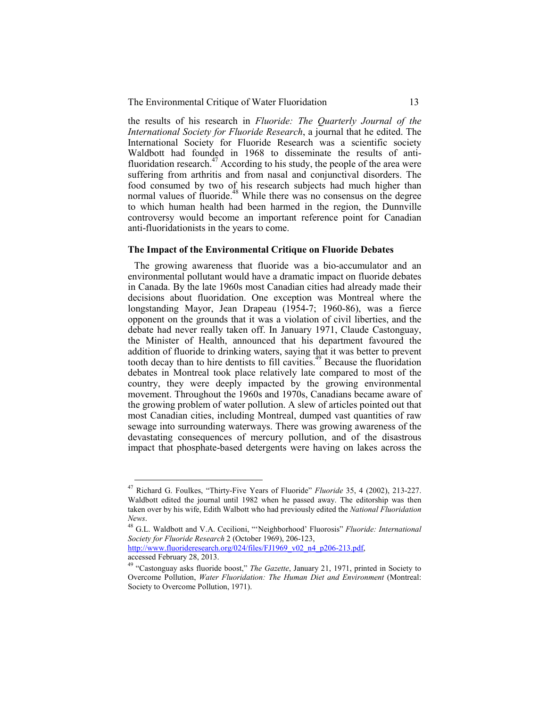the results of his research in *Fluoride: The Quarterly Journal of the International Society for Fluoride Research*, a journal that he edited. The International Society for Fluoride Research was a scientific society Waldbott had founded in 1968 to disseminate the results of antifluoridation research.<sup> $47$ </sup> According to his study, the people of the area were suffering from arthritis and from nasal and conjunctival disorders. The food consumed by two of his research subjects had much higher than normal values of fluoride.<sup>48</sup> While there was no consensus on the degree to which human health had been harmed in the region, the Dunnville controversy would become an important reference point for Canadian anti-fluoridationists in the years to come.

## **The Impact of the Environmental Critique on Fluoride Debates**

The growing awareness that fluoride was a bio-accumulator and an environmental pollutant would have a dramatic impact on fluoride debates in Canada. By the late 1960s most Canadian cities had already made their decisions about fluoridation. One exception was Montreal where the longstanding Mayor, Jean Drapeau (1954-7; 1960-86), was a fierce opponent on the grounds that it was a violation of civil liberties, and the debate had never really taken off. In January 1971, Claude Castonguay, the Minister of Health, announced that his department favoured the addition of fluoride to drinking waters, saying that it was better to prevent tooth decay than to hire dentists to fill cavities.<sup>49</sup> Because the fluoridation debates in Montreal took place relatively late compared to most of the country, they were deeply impacted by the growing environmental movement. Throughout the 1960s and 1970s, Canadians became aware of the growing problem of water pollution. A slew of articles pointed out that most Canadian cities, including Montreal, dumped vast quantities of raw sewage into surrounding waterways. There was growing awareness of the devastating consequences of mercury pollution, and of the disastrous impact that phosphate-based detergents were having on lakes across the

<sup>47</sup> Richard G. Foulkes, "Thirty-Five Years of Fluoride" *Fluoride* 35, 4 (2002), 213-227. Waldbott edited the journal until 1982 when he passed away. The editorship was then taken over by his wife, Edith Walbott who had previously edited the *National Fluoridation News*.

<sup>48</sup> G.L. Waldbott and V.A. Cecilioni, "'Neighborhood' Fluorosis" *Fluoride: International Society for Fluoride Research* 2 (October 1969), 206-123,

http://www.fluorideresearch.org/024/files/FJ1969\_v02\_n4\_p206-213.pdf, accessed February 28, 2013.

<sup>49</sup> "Castonguay asks fluoride boost," *The Gazette*, January 21, 1971, printed in Society to Overcome Pollution, *Water Fluoridation: The Human Diet and Environment* (Montreal: Society to Overcome Pollution, 1971).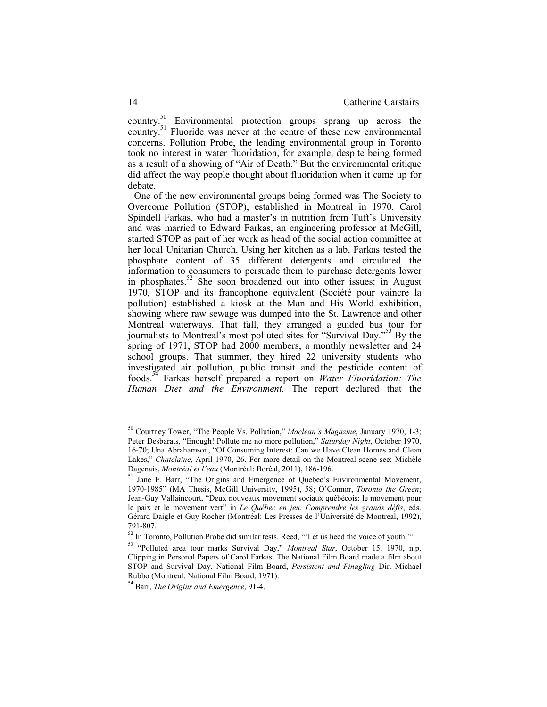country.<sup>50</sup> Environmental protection groups sprang up across the country.<sup>51</sup> Fluoride was never at the centre of these new environmental concerns. Pollution Probe, the leading environmental group in Toronto took no interest in water fluoridation, for example, despite being formed as a result of a showing of "Air of Death." But the environmental critique did affect the way people thought about fluoridation when it came up for debate.

One of the new environmental groups being formed was The Society to Overcome Pollution (STOP), established in Montreal in 1970. Carol Spindell Farkas, who had a master's in nutrition from Tuft's University and was married to Edward Farkas, an engineering professor at McGill, started STOP as part of her work as head of the social action committee at her local Unitarian Church. Using her kitchen as a lab, Farkas tested the phosphate content of 35 different detergents and circulated the information to consumers to persuade them to purchase detergents lower in phosphates.<sup>52</sup> She soon broadened out into other issues: in August 1970, STOP and its francophone equivalent (Société pour vaincre la pollution) established a kiosk at the Man and His World exhibition, showing where raw sewage was dumped into the St. Lawrence and other Montreal waterways. That fall, they arranged a guided bus tour for journalists to Montreal's most polluted sites for "Survival Day."<sup>53</sup> By the spring of 1971, STOP had 2000 members, a monthly newsletter and 24 school groups. That summer, they hired 22 university students who investigated air pollution, public transit and the pesticide content of foods.<sup>54</sup> Farkas herself prepared a report on *Water Fluoridation: The Human Diet and the Environment.* The report declared that the

 $\ddot{\phantom{a}}$ 

<sup>50</sup> Courtney Tower, "The People Vs. Pollution," *Maclean's Magazine*, January 1970, 1-3; Peter Desbarats, "Enough! Pollute me no more pollution," *Saturday Night*, October 1970, 16-70; Una Abrahamson, "Of Consuming Interest: Can we Have Clean Homes and Clean Lakes," *Chatelaine*, April 1970, 26. For more detail on the Montreal scene see: Michèle Dagenais, *Montréal et l'eau* (Montréal: Boréal, 2011), 186-196.

<sup>&</sup>lt;sup>51</sup> Jane E. Barr, "The Origins and Emergence of Quebec's Environmental Movement, 1970-1985" (MA Thesis, McGill University, 1995), 58; O'Connor, *Toronto the Green*; Jean-Guy Vallaincourt, "Deux nouveaux movement sociaux québécois: le movement pour le paix et le movement vert" in *Le Québec en jeu. Comprendre les grands défis*, eds. Gérard Daigle et Guy Rocher (Montréal: Les Presses de l'Université de Montreal, 1992), 791-807.

 $\frac{52 \text{ N}}{2}$  In Toronto, Pollution Probe did similar tests. Reed, "Let us heed the voice of youth."

<sup>53</sup> "Polluted area tour marks Survival Day," *Montreal Star*, October 15, 1970, n.p. Clipping in Personal Papers of Carol Farkas. The National Film Board made a film about STOP and Survival Day. National Film Board, *Persistent and Finagling* Dir. Michael Rubbo (Montreal: National Film Board, 1971).

<sup>54</sup> Barr, *The Origins and Emergence*, 91-4.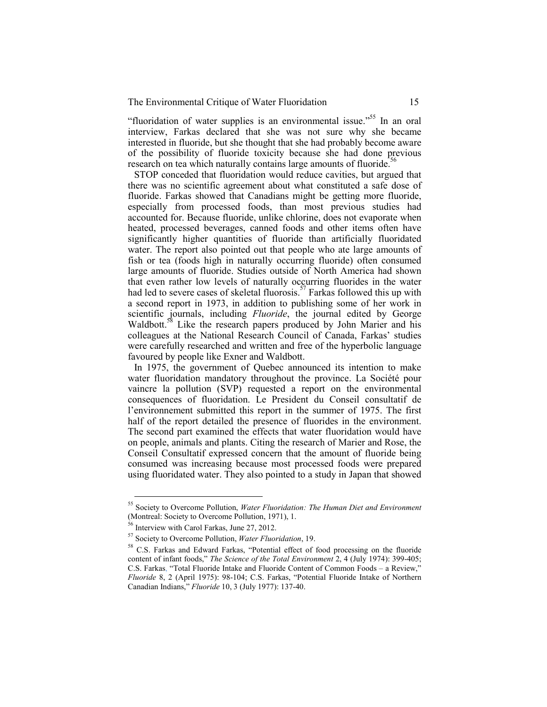"fluoridation of water supplies is an environmental issue."<sup>55</sup> In an oral interview, Farkas declared that she was not sure why she became interested in fluoride, but she thought that she had probably become aware of the possibility of fluoride toxicity because she had done previous research on tea which naturally contains large amounts of fluoride.<sup>5</sup>

STOP conceded that fluoridation would reduce cavities, but argued that there was no scientific agreement about what constituted a safe dose of fluoride. Farkas showed that Canadians might be getting more fluoride, especially from processed foods, than most previous studies had accounted for. Because fluoride, unlike chlorine, does not evaporate when heated, processed beverages, canned foods and other items often have significantly higher quantities of fluoride than artificially fluoridated water. The report also pointed out that people who ate large amounts of fish or tea (foods high in naturally occurring fluoride) often consumed large amounts of fluoride. Studies outside of North America had shown that even rather low levels of naturally occurring fluorides in the water had led to severe cases of skeletal fluorosis.<sup>57</sup> Farkas followed this up with a second report in 1973, in addition to publishing some of her work in scientific journals, including *Fluoride*, the journal edited by George Waldbott.<sup>58</sup> Like the research papers produced by John Marier and his colleagues at the National Research Council of Canada, Farkas' studies were carefully researched and written and free of the hyperbolic language favoured by people like Exner and Waldbott.

In 1975, the government of Quebec announced its intention to make water fluoridation mandatory throughout the province. La Société pour vaincre la pollution (SVP) requested a report on the environmental consequences of fluoridation. Le President du Conseil consultatif de l'environnement submitted this report in the summer of 1975. The first half of the report detailed the presence of fluorides in the environment. The second part examined the effects that water fluoridation would have on people, animals and plants. Citing the research of Marier and Rose, the Conseil Consultatif expressed concern that the amount of fluoride being consumed was increasing because most processed foods were prepared using fluoridated water. They also pointed to a study in Japan that showed

<sup>55</sup> Society to Overcome Pollution, *Water Fluoridation: The Human Diet and Environment* (Montreal: Society to Overcome Pollution, 1971), 1.

<sup>56</sup> Interview with Carol Farkas, June 27, 2012.

<sup>57</sup> Society to Overcome Pollution, *Water Fluoridation*, 19.

<sup>58</sup> C.S. Farkas and Edward Farkas, "Potential effect of food processing on the fluoride content of infant foods," *The Science of the Total Environment* 2, 4 (July 1974): 399-405; C.S. Farkas, "Total Fluoride Intake and Fluoride Content of Common Foods – a Review," *Fluoride* 8, 2 (April 1975): 98-104; C.S. Farkas, "Potential Fluoride Intake of Northern Canadian Indians," *Fluoride* 10, 3 (July 1977): 137-40.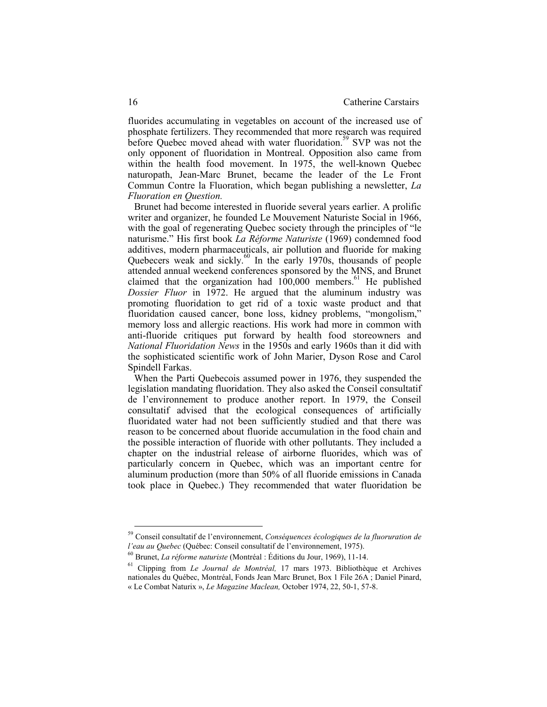fluorides accumulating in vegetables on account of the increased use of phosphate fertilizers. They recommended that more research was required before Quebec moved ahead with water fluoridation.<sup>59</sup> SVP was not the only opponent of fluoridation in Montreal. Opposition also came from within the health food movement. In 1975, the well-known Quebec naturopath, Jean-Marc Brunet, became the leader of the Le Front Commun Contre la Fluoration, which began publishing a newsletter, *La Fluoration en Question.* 

Brunet had become interested in fluoride several years earlier. A prolific writer and organizer, he founded Le Mouvement Naturiste Social in 1966, with the goal of regenerating Quebec society through the principles of "le naturisme." His first book *La Réforme Naturiste* (1969) condemned food additives, modern pharmaceuticals, air pollution and fluoride for making Quebecers weak and sickly. $60$  In the early 1970s, thousands of people attended annual weekend conferences sponsored by the MNS, and Brunet claimed that the organization had  $100,000$  members.<sup>61</sup> He published *Dossier Fluor* in 1972. He argued that the aluminum industry was promoting fluoridation to get rid of a toxic waste product and that fluoridation caused cancer, bone loss, kidney problems, "mongolism," memory loss and allergic reactions. His work had more in common with anti-fluoride critiques put forward by health food storeowners and *National Fluoridation News* in the 1950s and early 1960s than it did with the sophisticated scientific work of John Marier, Dyson Rose and Carol Spindell Farkas.

When the Parti Quebecois assumed power in 1976, they suspended the legislation mandating fluoridation. They also asked the Conseil consultatif de l'environnement to produce another report. In 1979, the Conseil consultatif advised that the ecological consequences of artificially fluoridated water had not been sufficiently studied and that there was reason to be concerned about fluoride accumulation in the food chain and the possible interaction of fluoride with other pollutants. They included a chapter on the industrial release of airborne fluorides, which was of particularly concern in Quebec, which was an important centre for aluminum production (more than 50% of all fluoride emissions in Canada took place in Quebec.) They recommended that water fluoridation be

<sup>59</sup> Conseil consultatif de l'environnement, *Conséquences écologiques de la fluoruration de l'eau au Quebec* (Québec: Conseil consultatif de l'environnement, 1975).

<sup>60</sup> Brunet, *La réforme naturiste* (Montréal : Éditions du Jour, 1969), 11-14.

<sup>61</sup> Clipping from *Le Journal de Montréal,* 17 mars 1973. Bibliothèque et Archives nationales du Québec, Montréal, Fonds Jean Marc Brunet, Box 1 File 26A ; Daniel Pinard, « Le Combat Naturix », *Le Magazine Maclean,* October 1974, 22, 50-1, 57-8.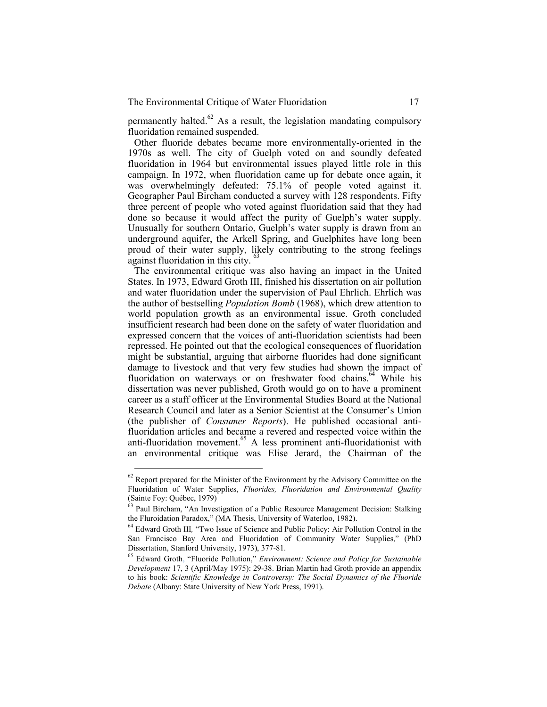permanently halted. $^{62}$  As a result, the legislation mandating compulsory fluoridation remained suspended.

Other fluoride debates became more environmentally-oriented in the 1970s as well. The city of Guelph voted on and soundly defeated fluoridation in 1964 but environmental issues played little role in this campaign. In 1972, when fluoridation came up for debate once again, it was overwhelmingly defeated: 75.1% of people voted against it. Geographer Paul Bircham conducted a survey with 128 respondents. Fifty three percent of people who voted against fluoridation said that they had done so because it would affect the purity of Guelph's water supply. Unusually for southern Ontario, Guelph's water supply is drawn from an underground aquifer, the Arkell Spring, and Guelphites have long been proud of their water supply, likely contributing to the strong feelings against fluoridation in this city.

The environmental critique was also having an impact in the United States. In 1973, Edward Groth III, finished his dissertation on air pollution and water fluoridation under the supervision of Paul Ehrlich. Ehrlich was the author of bestselling *Population Bomb* (1968), which drew attention to world population growth as an environmental issue. Groth concluded insufficient research had been done on the safety of water fluoridation and expressed concern that the voices of anti-fluoridation scientists had been repressed. He pointed out that the ecological consequences of fluoridation might be substantial, arguing that airborne fluorides had done significant damage to livestock and that very few studies had shown the impact of fluoridation on waterways or on freshwater food chains.<sup>64</sup> While his dissertation was never published, Groth would go on to have a prominent career as a staff officer at the Environmental Studies Board at the National Research Council and later as a Senior Scientist at the Consumer's Union (the publisher of *Consumer Reports*). He published occasional antifluoridation articles and became a revered and respected voice within the anti-fluoridation movement.<sup>65</sup> A less prominent anti-fluoridationist with an environmental critique was Elise Jerard, the Chairman of the

 $62$  Report prepared for the Minister of the Environment by the Advisory Committee on the Fluoridation of Water Supplies, *Fluorides, Fluoridation and Environmental Quality*  (Sainte Foy: Québec, 1979)

<sup>63</sup> Paul Bircham, "An Investigation of a Public Resource Management Decision: Stalking the Fluroidation Paradox," (MA Thesis, University of Waterloo, 1982).

<sup>64</sup> Edward Groth III*,* "Two Issue of Science and Public Policy: Air Pollution Control in the San Francisco Bay Area and Fluoridation of Community Water Supplies," (PhD Dissertation, Stanford University, 1973), 377-81.

<sup>65</sup> Edward Groth, "Fluoride Pollution," *Environment: Science and Policy for Sustainable Development* 17, 3 (April/May 1975): 29-38. Brian Martin had Groth provide an appendix to his book: *Scientific Knowledge in Controversy: The Social Dynamics of the Fluoride Debate* (Albany: State University of New York Press, 1991).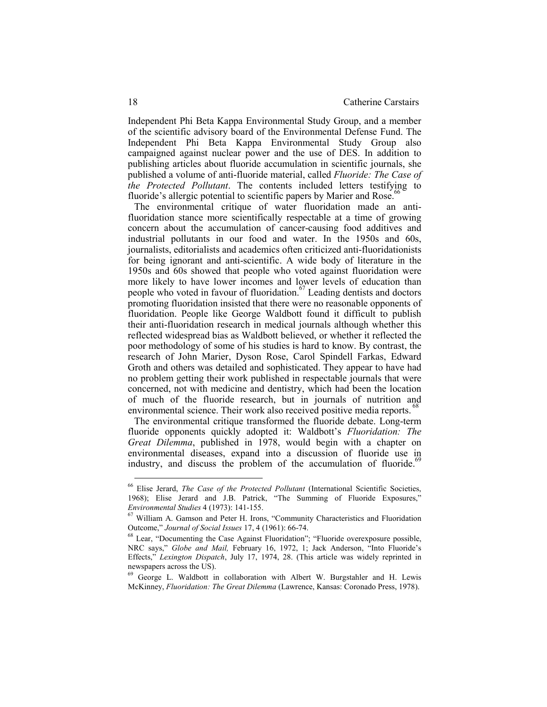Independent Phi Beta Kappa Environmental Study Group, and a member of the scientific advisory board of the Environmental Defense Fund. The Independent Phi Beta Kappa Environmental Study Group also campaigned against nuclear power and the use of DES. In addition to publishing articles about fluoride accumulation in scientific journals, she published a volume of anti-fluoride material, called *Fluoride: The Case of the Protected Pollutant*. The contents included letters testifying to fluoride's allergic potential to scientific papers by Marier and Rose.<sup>6</sup>

The environmental critique of water fluoridation made an antifluoridation stance more scientifically respectable at a time of growing concern about the accumulation of cancer-causing food additives and industrial pollutants in our food and water. In the 1950s and 60s, journalists, editorialists and academics often criticized anti-fluoridationists for being ignorant and anti-scientific. A wide body of literature in the 1950s and 60s showed that people who voted against fluoridation were more likely to have lower incomes and lower levels of education than people who voted in favour of fluoridation.<sup>67</sup> Leading dentists and doctors promoting fluoridation insisted that there were no reasonable opponents of fluoridation. People like George Waldbott found it difficult to publish their anti-fluoridation research in medical journals although whether this reflected widespread bias as Waldbott believed, or whether it reflected the poor methodology of some of his studies is hard to know. By contrast, the research of John Marier, Dyson Rose, Carol Spindell Farkas, Edward Groth and others was detailed and sophisticated. They appear to have had no problem getting their work published in respectable journals that were concerned, not with medicine and dentistry, which had been the location of much of the fluoride research, but in journals of nutrition and environmental science. Their work also received positive media reports.<sup>88</sup>

The environmental critique transformed the fluoride debate. Long-term fluoride opponents quickly adopted it: Waldbott's *Fluoridation: The Great Dilemma*, published in 1978, would begin with a chapter on environmental diseases, expand into a discussion of fluoride use in industry, and discuss the problem of the accumulation of fluoride.<sup>8</sup>

<sup>66</sup> Elise Jerard, *The Case of the Protected Pollutant* (International Scientific Societies, 1968); Elise Jerard and J.B. Patrick, "The Summing of Fluoride Exposures," *Environmental Studies* 4 (1973): 141-155.

 $67$  William A. Gamson and Peter H. Irons, "Community Characteristics and Fluoridation Outcome," *Journal of Social Issues* 17, 4 (1961): 66-74.

<sup>&</sup>lt;sup>68</sup> Lear, "Documenting the Case Against Fluoridation"; "Fluoride overexposure possible, NRC says," *Globe and Mail,* February 16, 1972, 1; Jack Anderson, "Into Fluoride's Effects," *Lexington Dispatch*, July 17, 1974, 28. (This article was widely reprinted in newspapers across the US).

<sup>69</sup> George L. Waldbott in collaboration with Albert W. Burgstahler and H. Lewis McKinney, *Fluoridation: The Great Dilemma* (Lawrence, Kansas: Coronado Press, 1978).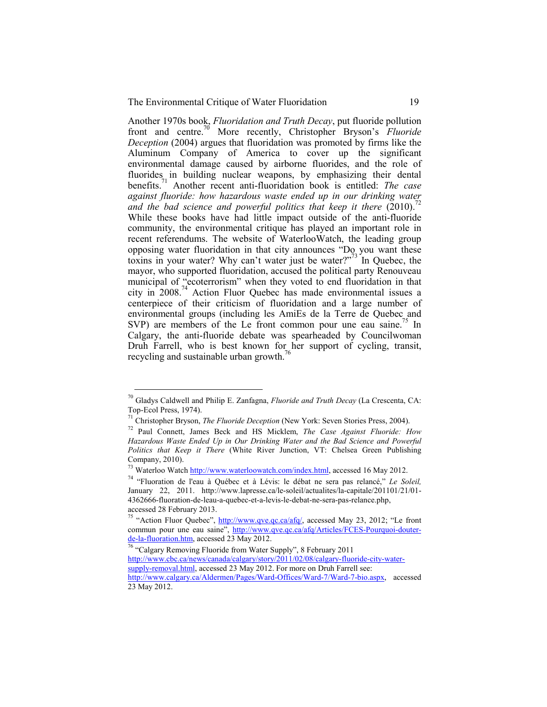Another 1970s book, *Fluoridation and Truth Decay*, put fluoride pollution front and centre.<sup>70</sup> More recently, Christopher Bryson's *Fluoride Deception* (2004) argues that fluoridation was promoted by firms like the Aluminum Company of America to cover up the significant environmental damage caused by airborne fluorides, and the role of fluorides in building nuclear weapons, by emphasizing their dental benefits.<sup>71</sup> Another recent anti-fluoridation book is entitled: *The case against fluoride: how hazardous waste ended up in our drinking water*  and the bad science and powerful politics that keep it there (2010).<sup>4</sup> While these books have had little impact outside of the anti-fluoride community, the environmental critique has played an important role in recent referendums. The website of WaterlooWatch, the leading group opposing water fluoridation in that city announces "Do you want these toxins in your water? Why can't water just be water?"<sup>73</sup> In Quebec, the mayor, who supported fluoridation, accused the political party Renouveau municipal of "ecoterrorism" when they voted to end fluoridation in that city in  $2008$ .<sup>74</sup> Action Fluor Quebec has made environmental issues a centerpiece of their criticism of fluoridation and a large number of environmental groups (including les AmiEs de la Terre de Quebec and SVP) are members of the Le front common pour une eau saine.<sup>15</sup> In Calgary, the anti-fluoride debate was spearheaded by Councilwoman Druh Farrell, who is best known for her support of cycling, transit, recycling and sustainable urban growth.<sup>7</sup>

<sup>70</sup> Gladys Caldwell and Philip E. Zanfagna, *Fluoride and Truth Decay* (La Crescenta, CA: Top-Ecol Press, 1974).

<sup>71</sup> Christopher Bryson, *The Fluoride Deception* (New York: Seven Stories Press, 2004).

<sup>72</sup> Paul Connett, James Beck and HS Micklem, *The Case Against Fluoride: How Hazardous Waste Ended Up in Our Drinking Water and the Bad Science and Powerful Politics that Keep it There* (White River Junction, VT: Chelsea Green Publishing Company, 2010).

<sup>&</sup>lt;sup>73</sup> Waterloo Watch http://www.waterloowatch.com/index.html, accessed 16 May 2012.

<sup>74</sup> "Fluoration de l'eau à Québec et à Lévis: le débat ne sera pas relancé," *Le Soleil,* January 22, 2011. http://www.lapresse.ca/le-soleil/actualites/la-capitale/201101/21/01- 4362666-fluoration-de-leau-a-quebec-et-a-levis-le-debat-ne-sera-pas-relance.php, accessed 28 February 2013.

<sup>&</sup>lt;sup>75</sup> "Action Fluor Quebec", http://www.qve.qc.ca/afq/, accessed May 23, 2012; "Le front commun pour une eau saine", http://www.qve.qc.ca/afq/Articles/FCES-Pourquoi-douterde-la-fluoration.htm, accessed 23 May 2012.

 $\frac{76}{76}$  "Calgary Removing Fluoride from Water Supply", 8 February 2011 http://www.cbc.ca/news/canada/calgary/story/2011/02/08/calgary-fluoride-city-watersupply-removal.html, accessed 23 May 2012. For more on Druh Farrell see: http://www.calgary.ca/Aldermen/Pages/Ward-Offices/Ward-7/Ward-7-bio.aspx, accessed 23 May 2012.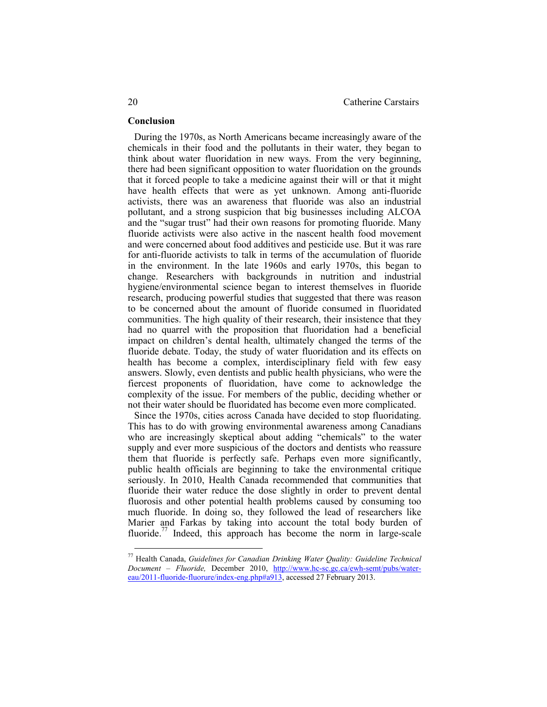#### **Conclusion**

During the 1970s, as North Americans became increasingly aware of the chemicals in their food and the pollutants in their water, they began to think about water fluoridation in new ways. From the very beginning, there had been significant opposition to water fluoridation on the grounds that it forced people to take a medicine against their will or that it might have health effects that were as yet unknown. Among anti-fluoride activists, there was an awareness that fluoride was also an industrial pollutant, and a strong suspicion that big businesses including ALCOA and the "sugar trust" had their own reasons for promoting fluoride. Many fluoride activists were also active in the nascent health food movement and were concerned about food additives and pesticide use. But it was rare for anti-fluoride activists to talk in terms of the accumulation of fluoride in the environment. In the late 1960s and early 1970s, this began to change. Researchers with backgrounds in nutrition and industrial hygiene/environmental science began to interest themselves in fluoride research, producing powerful studies that suggested that there was reason to be concerned about the amount of fluoride consumed in fluoridated communities. The high quality of their research, their insistence that they had no quarrel with the proposition that fluoridation had a beneficial impact on children's dental health, ultimately changed the terms of the fluoride debate. Today, the study of water fluoridation and its effects on health has become a complex, interdisciplinary field with few easy answers. Slowly, even dentists and public health physicians, who were the fiercest proponents of fluoridation, have come to acknowledge the complexity of the issue. For members of the public, deciding whether or not their water should be fluoridated has become even more complicated.

Since the 1970s, cities across Canada have decided to stop fluoridating. This has to do with growing environmental awareness among Canadians who are increasingly skeptical about adding "chemicals" to the water supply and ever more suspicious of the doctors and dentists who reassure them that fluoride is perfectly safe. Perhaps even more significantly, public health officials are beginning to take the environmental critique seriously. In 2010, Health Canada recommended that communities that fluoride their water reduce the dose slightly in order to prevent dental fluorosis and other potential health problems caused by consuming too much fluoride. In doing so, they followed the lead of researchers like Marier and Farkas by taking into account the total body burden of fluoride.<sup> $\prime\prime$ </sup> Indeed, this approach has become the norm in large-scale

<sup>77</sup> Health Canada, *Guidelines for Canadian Drinking Water Quality: Guideline Technical Document – Fluoride,* December 2010, http://www.hc-sc.gc.ca/ewh-semt/pubs/watereau/2011-fluoride-fluorure/index-eng.php#a913, accessed 27 February 2013.